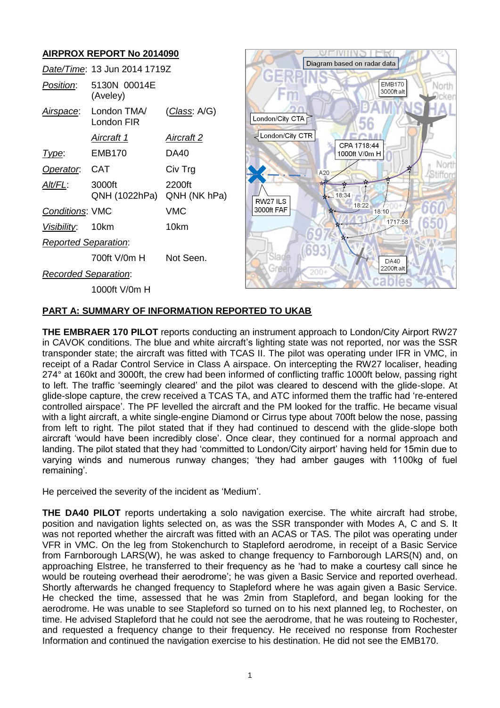# **AIRPROX REPORT No 2014090**

|                             | Date/Time: 13 Jun 2014 1719Z |                        |  |
|-----------------------------|------------------------------|------------------------|--|
| Position:                   | 5130N 00014E<br>(Aveley)     |                        |  |
| Airspace:                   | London TMA/<br>London FIR    | (Class: A/G)           |  |
|                             | Aircraft 1                   | Aircraft 2             |  |
| <u>I ype:</u>               | EMB170                       | DA40                   |  |
| Operator: CAT               |                              | Civ Trg                |  |
| Alt/FL:                     | 3000ft<br>QNH (1022hPa)      | 2200ft<br>QNH (NK hPa) |  |
| <b>Conditions: VMC</b>      |                              | VMC                    |  |
| <i>Visibility</i> : 10km    |                              | 10km                   |  |
| <b>Reported Separation:</b> |                              |                        |  |
|                             | 700ft V/0m H                 | Not Seen.              |  |
| Recorded Separation:        |                              |                        |  |
|                             | 1000ft V/0m H                |                        |  |



## **PART A: SUMMARY OF INFORMATION REPORTED TO UKAB**

**THE EMBRAER 170 PILOT** reports conducting an instrument approach to London/City Airport RW27 in CAVOK conditions. The blue and white aircraft's lighting state was not reported, nor was the SSR transponder state; the aircraft was fitted with TCAS II. The pilot was operating under IFR in VMC, in receipt of a Radar Control Service in Class A airspace. On intercepting the RW27 localiser, heading 274° at 160kt and 3000ft, the crew had been informed of conflicting traffic 1000ft below, passing right to left. The traffic 'seemingly cleared' and the pilot was cleared to descend with the glide-slope. At glide-slope capture, the crew received a TCAS TA, and ATC informed them the traffic had 're-entered controlled airspace'. The PF levelled the aircraft and the PM looked for the traffic. He became visual with a light aircraft, a white single-engine Diamond or Cirrus type about 700ft below the nose, passing from left to right. The pilot stated that if they had continued to descend with the glide-slope both aircraft 'would have been incredibly close'. Once clear, they continued for a normal approach and landing. The pilot stated that they had 'committed to London/City airport' having held for 15min due to varying winds and numerous runway changes; 'they had amber gauges with 1100kg of fuel remaining'.

He perceived the severity of the incident as 'Medium'.

**THE DA40 PILOT** reports undertaking a solo navigation exercise. The white aircraft had strobe, position and navigation lights selected on, as was the SSR transponder with Modes A, C and S. It was not reported whether the aircraft was fitted with an ACAS or TAS. The pilot was operating under VFR in VMC. On the leg from Stokenchurch to Stapleford aerodrome, in receipt of a Basic Service from Farnborough LARS(W), he was asked to change frequency to Farnborough LARS(N) and, on approaching Elstree, he transferred to their frequency as he 'had to make a courtesy call since he would be routeing overhead their aerodrome'; he was given a Basic Service and reported overhead. Shortly afterwards he changed frequency to Stapleford where he was again given a Basic Service. He checked the time, assessed that he was 2min from Stapleford, and began looking for the aerodrome. He was unable to see Stapleford so turned on to his next planned leg, to Rochester, on time. He advised Stapleford that he could not see the aerodrome, that he was routeing to Rochester, and requested a frequency change to their frequency. He received no response from Rochester Information and continued the navigation exercise to his destination. He did not see the EMB170.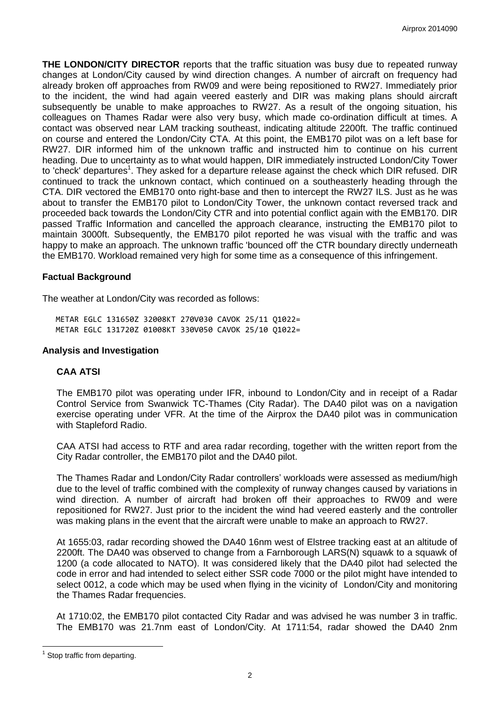**THE LONDON/CITY DIRECTOR** reports that the traffic situation was busy due to repeated runway changes at London/City caused by wind direction changes. A number of aircraft on frequency had already broken off approaches from RW09 and were being repositioned to RW27. Immediately prior to the incident, the wind had again veered easterly and DIR was making plans should aircraft subsequently be unable to make approaches to RW27. As a result of the ongoing situation, his colleagues on Thames Radar were also very busy, which made co-ordination difficult at times. A contact was observed near LAM tracking southeast, indicating altitude 2200ft. The traffic continued on course and entered the London/City CTA. At this point, the EMB170 pilot was on a left base for RW27. DIR informed him of the unknown traffic and instructed him to continue on his current heading. Due to uncertainty as to what would happen, DIR immediately instructed London/City Tower to 'check' departures<sup>1</sup>. They asked for a departure release against the check which DIR refused. DIR continued to track the unknown contact, which continued on a southeasterly heading through the CTA. DIR vectored the EMB170 onto right-base and then to intercept the RW27 ILS. Just as he was about to transfer the EMB170 pilot to London/City Tower, the unknown contact reversed track and proceeded back towards the London/City CTR and into potential conflict again with the EMB170. DIR passed Traffic Information and cancelled the approach clearance, instructing the EMB170 pilot to maintain 3000ft. Subsequently, the EMB170 pilot reported he was visual with the traffic and was happy to make an approach. The unknown traffic 'bounced off' the CTR boundary directly underneath the EMB170. Workload remained very high for some time as a consequence of this infringement.

## **Factual Background**

The weather at London/City was recorded as follows:

METAR EGLC 131650Z 32008KT 270V030 CAVOK 25/11 Q1022= METAR EGLC 131720Z 01008KT 330V050 CAVOK 25/10 Q1022=

## **Analysis and Investigation**

# **CAA ATSI**

The EMB170 pilot was operating under IFR, inbound to London/City and in receipt of a Radar Control Service from Swanwick TC-Thames (City Radar). The DA40 pilot was on a navigation exercise operating under VFR. At the time of the Airprox the DA40 pilot was in communication with Stapleford Radio.

CAA ATSI had access to RTF and area radar recording, together with the written report from the City Radar controller, the EMB170 pilot and the DA40 pilot.

The Thames Radar and London/City Radar controllers' workloads were assessed as medium/high due to the level of traffic combined with the complexity of runway changes caused by variations in wind direction. A number of aircraft had broken off their approaches to RW09 and were repositioned for RW27. Just prior to the incident the wind had veered easterly and the controller was making plans in the event that the aircraft were unable to make an approach to RW27.

At 1655:03, radar recording showed the DA40 16nm west of Elstree tracking east at an altitude of 2200ft. The DA40 was observed to change from a Farnborough LARS(N) squawk to a squawk of 1200 (a code allocated to NATO). It was considered likely that the DA40 pilot had selected the code in error and had intended to select either SSR code 7000 or the pilot might have intended to select 0012, a code which may be used when flying in the vicinity of London/City and monitoring the Thames Radar frequencies.

At 1710:02, the EMB170 pilot contacted City Radar and was advised he was number 3 in traffic. The EMB170 was 21.7nm east of London/City. At 1711:54, radar showed the DA40 2nm

 $\overline{a}$ 

<sup>1</sup> Stop traffic from departing.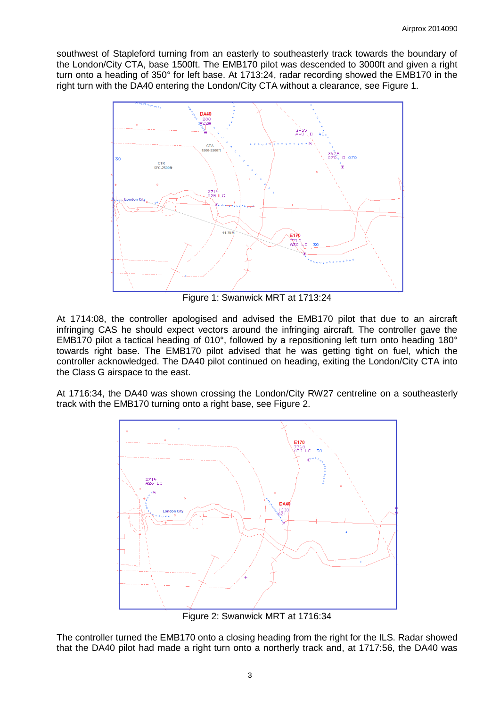southwest of Stapleford turning from an easterly to southeasterly track towards the boundary of the London/City CTA, base 1500ft. The EMB170 pilot was descended to 3000ft and given a right turn onto a heading of 350° for left base. At 1713:24, radar recording showed the EMB170 in the right turn with the DA40 entering the London/City CTA without a clearance, see Figure 1.



Figure 1: Swanwick MRT at 1713:24

At 1714:08, the controller apologised and advised the EMB170 pilot that due to an aircraft infringing CAS he should expect vectors around the infringing aircraft. The controller gave the EMB170 pilot a tactical heading of 010°, followed by a repositioning left turn onto heading 180° towards right base. The EMB170 pilot advised that he was getting tight on fuel, which the controller acknowledged. The DA40 pilot continued on heading, exiting the London/City CTA into the Class G airspace to the east.

At 1716:34, the DA40 was shown crossing the London/City RW27 centreline on a southeasterly track with the EMB170 turning onto a right base, see Figure 2.



Figure 2: Swanwick MRT at 1716:34

The controller turned the EMB170 onto a closing heading from the right for the ILS. Radar showed that the DA40 pilot had made a right turn onto a northerly track and, at 1717:56, the DA40 was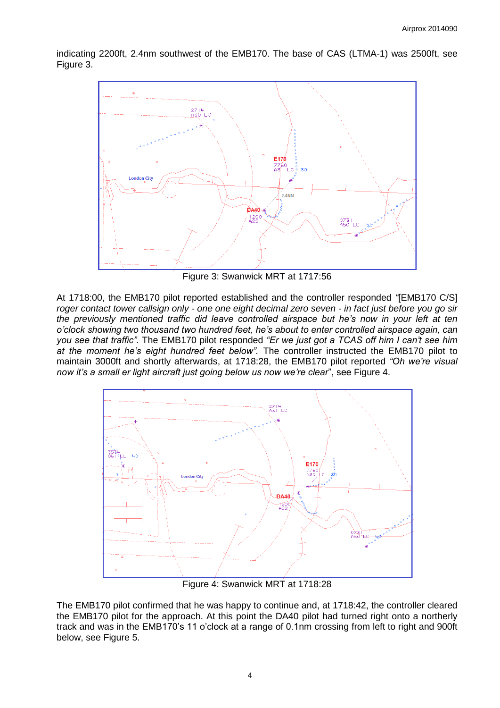indicating 2200ft, 2.4nm southwest of the EMB170. The base of CAS (LTMA-1) was 2500ft, see Figure 3.



Figure 3: Swanwick MRT at 1717:56

At 1718:00, the EMB170 pilot reported established and the controller responded *"*[EMB170 C/S] *roger contact tower callsign only - one one eight decimal zero seven - in fact just before you go sir the previously mentioned traffic did leave controlled airspace but he's now in your left at ten o'clock showing two thousand two hundred feet, he's about to enter controlled airspace again, can you see that traffic".* The EMB170 pilot responded *"Er we just got a TCAS off him I can't see him at the moment he's eight hundred feet below".* The controller instructed the EMB170 pilot to maintain 3000ft and shortly afterwards, at 1718:28, the EMB170 pilot reported *"Oh we're visual now it's a small er light aircraft just going below us now we're clear*", see Figure 4.



Figure 4: Swanwick MRT at 1718:28

The EMB170 pilot confirmed that he was happy to continue and, at 1718:42, the controller cleared the EMB170 pilot for the approach. At this point the DA40 pilot had turned right onto a northerly track and was in the EMB170's 11 o'clock at a range of 0.1nm crossing from left to right and 900ft below, see Figure 5.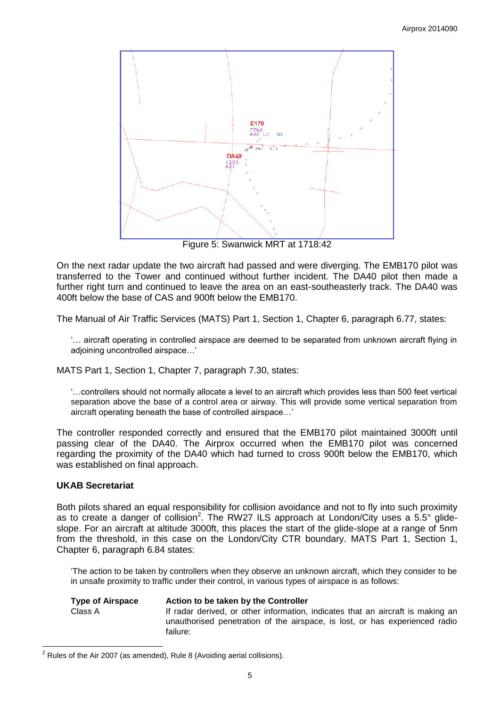

Figure 5: Swanwick MRT at 1718:42

On the next radar update the two aircraft had passed and were diverging. The EMB170 pilot was transferred to the Tower and continued without further incident. The DA40 pilot then made a further right turn and continued to leave the area on an east-southeasterly track. The DA40 was 400ft below the base of CAS and 900ft below the EMB170.

The Manual of Air Traffic Services (MATS) Part 1, Section 1, Chapter 6, paragraph 6.77, states:

'… aircraft operating in controlled airspace are deemed to be separated from unknown aircraft flying in adioining uncontrolled airspace...'

MATS Part 1, Section 1, Chapter 7, paragraph 7.30, states:

'…controllers should not normally allocate a level to an aircraft which provides less than 500 feet vertical separation above the base of a control area or airway. This will provide some vertical separation from aircraft operating beneath the base of controlled airspace…'

The controller responded correctly and ensured that the EMB170 pilot maintained 3000ft until passing clear of the DA40. The Airprox occurred when the EMB170 pilot was concerned regarding the proximity of the DA40 which had turned to cross 900ft below the EMB170, which was established on final approach.

# **UKAB Secretariat**

 $\overline{a}$ 

Both pilots shared an equal responsibility for collision avoidance and not to fly into such proximity as to create a danger of collision<sup>2</sup>. The RW27 ILS approach at London/City uses a 5.5° glideslope. For an aircraft at altitude 3000ft, this places the start of the glide-slope at a range of 5nm from the threshold, in this case on the London/City CTR boundary. MATS Part 1, Section 1, Chapter 6, paragraph 6.84 states:

'The action to be taken by controllers when they observe an unknown aircraft, which they consider to be in unsafe proximity to traffic under their control, in various types of airspace is as follows:

| <b>Type of Airspace</b> | Action to be taken by the Controller                                                                                                                           |
|-------------------------|----------------------------------------------------------------------------------------------------------------------------------------------------------------|
| Class A                 | If radar derived, or other information, indicates that an aircraft is making an<br>unauthorised penetration of the airspace, is lost, or has experienced radio |
|                         | failure:                                                                                                                                                       |

 $2$  Rules of the Air 2007 (as amended), Rule 8 (Avoiding aerial collisions).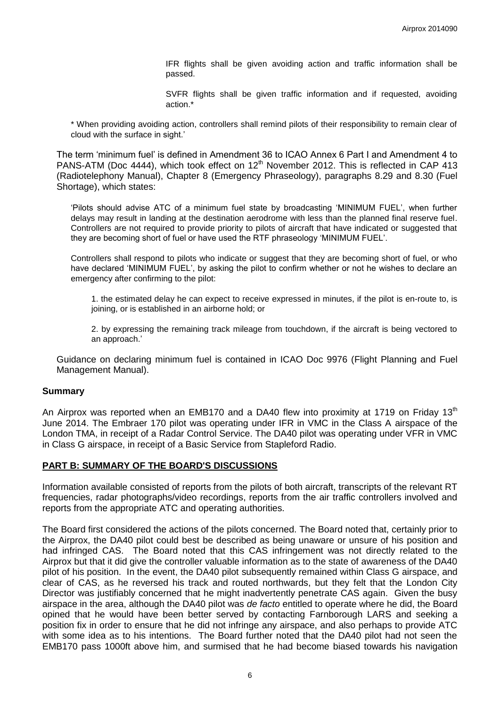IFR flights shall be given avoiding action and traffic information shall be passed.

SVFR flights shall be given traffic information and if requested, avoiding action.\*

\* When providing avoiding action, controllers shall remind pilots of their responsibility to remain clear of cloud with the surface in sight.'

The term 'minimum fuel' is defined in Amendment 36 to ICAO Annex 6 Part I and Amendment 4 to PANS-ATM (Doc 4444), which took effect on 12<sup>th</sup> November 2012. This is reflected in CAP 413 (Radiotelephony Manual), Chapter 8 (Emergency Phraseology), paragraphs 8.29 and 8.30 (Fuel Shortage), which states:

'Pilots should advise ATC of a minimum fuel state by broadcasting 'MINIMUM FUEL', when further delays may result in landing at the destination aerodrome with less than the planned final reserve fuel. Controllers are not required to provide priority to pilots of aircraft that have indicated or suggested that they are becoming short of fuel or have used the RTF phraseology 'MINIMUM FUEL'.

Controllers shall respond to pilots who indicate or suggest that they are becoming short of fuel, or who have declared 'MINIMUM FUEL', by asking the pilot to confirm whether or not he wishes to declare an emergency after confirming to the pilot:

1. the estimated delay he can expect to receive expressed in minutes, if the pilot is en-route to, is joining, or is established in an airborne hold; or

2. by expressing the remaining track mileage from touchdown, if the aircraft is being vectored to an approach.'

Guidance on declaring minimum fuel is contained in ICAO Doc 9976 (Flight Planning and Fuel Management Manual).

#### **Summary**

An Airprox was reported when an EMB170 and a DA40 flew into proximity at 1719 on Friday 13<sup>th</sup> June 2014. The Embraer 170 pilot was operating under IFR in VMC in the Class A airspace of the London TMA, in receipt of a Radar Control Service. The DA40 pilot was operating under VFR in VMC in Class G airspace, in receipt of a Basic Service from Stapleford Radio.

#### **PART B: SUMMARY OF THE BOARD'S DISCUSSIONS**

Information available consisted of reports from the pilots of both aircraft, transcripts of the relevant RT frequencies, radar photographs/video recordings, reports from the air traffic controllers involved and reports from the appropriate ATC and operating authorities.

The Board first considered the actions of the pilots concerned. The Board noted that, certainly prior to the Airprox, the DA40 pilot could best be described as being unaware or unsure of his position and had infringed CAS. The Board noted that this CAS infringement was not directly related to the Airprox but that it did give the controller valuable information as to the state of awareness of the DA40 pilot of his position. In the event, the DA40 pilot subsequently remained within Class G airspace, and clear of CAS, as he reversed his track and routed northwards, but they felt that the London City Director was justifiably concerned that he might inadvertently penetrate CAS again. Given the busy airspace in the area, although the DA40 pilot was *de facto* entitled to operate where he did, the Board opined that he would have been better served by contacting Farnborough LARS and seeking a position fix in order to ensure that he did not infringe any airspace, and also perhaps to provide ATC with some idea as to his intentions. The Board further noted that the DA40 pilot had not seen the EMB170 pass 1000ft above him, and surmised that he had become biased towards his navigation